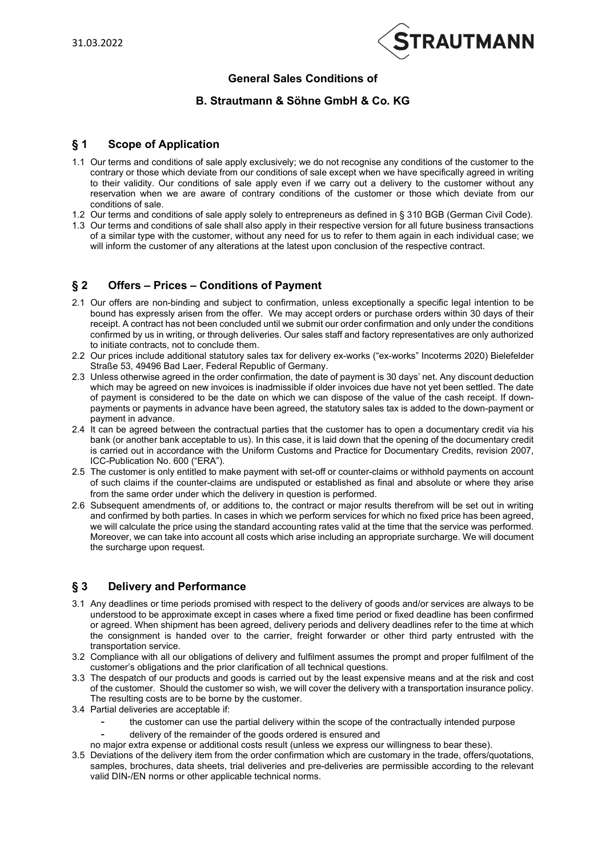

# General Sales Conditions of

# B. Strautmann & Söhne GmbH & Co. KG

### § 1 Scope of Application

- 1.1 Our terms and conditions of sale apply exclusively; we do not recognise any conditions of the customer to the contrary or those which deviate from our conditions of sale except when we have specifically agreed in writing to their validity. Our conditions of sale apply even if we carry out a delivery to the customer without any reservation when we are aware of contrary conditions of the customer or those which deviate from our conditions of sale.
- 1.2 Our terms and conditions of sale apply solely to entrepreneurs as defined in § 310 BGB (German Civil Code).
- 1.3 Our terms and conditions of sale shall also apply in their respective version for all future business transactions of a similar type with the customer, without any need for us to refer to them again in each individual case; we will inform the customer of any alterations at the latest upon conclusion of the respective contract.

# § 2 Offers – Prices – Conditions of Payment

- 2.1 Our offers are non-binding and subject to confirmation, unless exceptionally a specific legal intention to be bound has expressly arisen from the offer. We may accept orders or purchase orders within 30 days of their receipt. A contract has not been concluded until we submit our order confirmation and only under the conditions confirmed by us in writing, or through deliveries. Our sales staff and factory representatives are only authorized to initiate contracts, not to conclude them.
- 2.2 Our prices include additional statutory sales tax for delivery ex-works ("ex-works" Incoterms 2020) Bielefelder Straße 53, 49496 Bad Laer, Federal Republic of Germany.
- 2.3 Unless otherwise agreed in the order confirmation, the date of payment is 30 days' net. Any discount deduction which may be agreed on new invoices is inadmissible if older invoices due have not yet been settled. The date of payment is considered to be the date on which we can dispose of the value of the cash receipt. If downpayments or payments in advance have been agreed, the statutory sales tax is added to the down-payment or payment in advance.
- 2.4 It can be agreed between the contractual parties that the customer has to open a documentary credit via his bank (or another bank acceptable to us). In this case, it is laid down that the opening of the documentary credit is carried out in accordance with the Uniform Customs and Practice for Documentary Credits, revision 2007, ICC-Publication No. 600 ("ERA").
- 2.5 The customer is only entitled to make payment with set-off or counter-claims or withhold payments on account of such claims if the counter-claims are undisputed or established as final and absolute or where they arise from the same order under which the delivery in question is performed.
- 2.6 Subsequent amendments of, or additions to, the contract or major results therefrom will be set out in writing and confirmed by both parties. In cases in which we perform services for which no fixed price has been agreed, we will calculate the price using the standard accounting rates valid at the time that the service was performed. Moreover, we can take into account all costs which arise including an appropriate surcharge. We will document the surcharge upon request.

# § 3 Delivery and Performance

- 3.1 Any deadlines or time periods promised with respect to the delivery of goods and/or services are always to be understood to be approximate except in cases where a fixed time period or fixed deadline has been confirmed or agreed. When shipment has been agreed, delivery periods and delivery deadlines refer to the time at which the consignment is handed over to the carrier, freight forwarder or other third party entrusted with the transportation service.
- 3.2 Compliance with all our obligations of delivery and fulfilment assumes the prompt and proper fulfilment of the customer's obligations and the prior clarification of all technical questions.
- 3.3 The despatch of our products and goods is carried out by the least expensive means and at the risk and cost of the customer. Should the customer so wish, we will cover the delivery with a transportation insurance policy. The resulting costs are to be borne by the customer.
- 3.4 Partial deliveries are acceptable if:
	- the customer can use the partial delivery within the scope of the contractually intended purpose
	- delivery of the remainder of the goods ordered is ensured and
	- no major extra expense or additional costs result (unless we express our willingness to bear these).
- 3.5 Deviations of the delivery item from the order confirmation which are customary in the trade, offers/quotations, samples, brochures, data sheets, trial deliveries and pre-deliveries are permissible according to the relevant valid DIN-/EN norms or other applicable technical norms.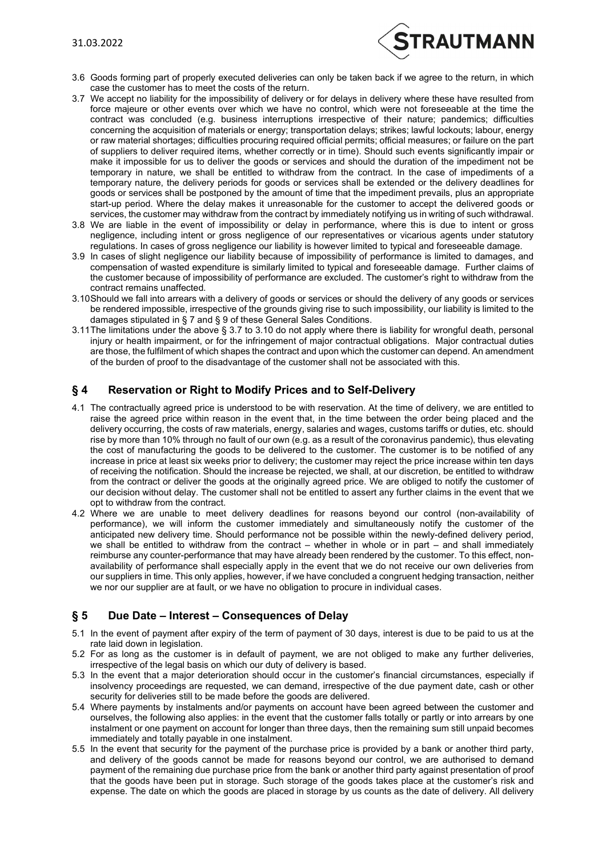

- 3.6 Goods forming part of properly executed deliveries can only be taken back if we agree to the return, in which case the customer has to meet the costs of the return.
- 3.7 We accept no liability for the impossibility of delivery or for delays in delivery where these have resulted from force majeure or other events over which we have no control, which were not foreseeable at the time the contract was concluded (e.g. business interruptions irrespective of their nature; pandemics; difficulties concerning the acquisition of materials or energy; transportation delays; strikes; lawful lockouts; labour, energy or raw material shortages; difficulties procuring required official permits; official measures; or failure on the part of suppliers to deliver required items, whether correctly or in time). Should such events significantly impair or make it impossible for us to deliver the goods or services and should the duration of the impediment not be temporary in nature, we shall be entitled to withdraw from the contract. In the case of impediments of a temporary nature, the delivery periods for goods or services shall be extended or the delivery deadlines for goods or services shall be postponed by the amount of time that the impediment prevails, plus an appropriate start-up period. Where the delay makes it unreasonable for the customer to accept the delivered goods or services, the customer may withdraw from the contract by immediately notifying us in writing of such withdrawal.
- 3.8 We are liable in the event of impossibility or delay in performance, where this is due to intent or gross negligence, including intent or gross negligence of our representatives or vicarious agents under statutory regulations. In cases of gross negligence our liability is however limited to typical and foreseeable damage.
- 3.9 In cases of slight negligence our liability because of impossibility of performance is limited to damages, and compensation of wasted expenditure is similarly limited to typical and foreseeable damage. Further claims of the customer because of impossibility of performance are excluded. The customer's right to withdraw from the contract remains unaffected.
- 3.10 Should we fall into arrears with a delivery of goods or services or should the delivery of any goods or services be rendered impossible, irrespective of the grounds giving rise to such impossibility, our liability is limited to the damages stipulated in § 7 and § 9 of these General Sales Conditions.
- 3.11 The limitations under the above § 3.7 to 3.10 do not apply where there is liability for wrongful death, personal injury or health impairment, or for the infringement of major contractual obligations. Major contractual duties are those, the fulfilment of which shapes the contract and upon which the customer can depend. An amendment of the burden of proof to the disadvantage of the customer shall not be associated with this.

# § 4 Reservation or Right to Modify Prices and to Self-Delivery

- 4.1 The contractually agreed price is understood to be with reservation. At the time of delivery, we are entitled to raise the agreed price within reason in the event that, in the time between the order being placed and the delivery occurring, the costs of raw materials, energy, salaries and wages, customs tariffs or duties, etc. should rise by more than 10% through no fault of our own (e.g. as a result of the coronavirus pandemic), thus elevating the cost of manufacturing the goods to be delivered to the customer. The customer is to be notified of any increase in price at least six weeks prior to delivery; the customer may reject the price increase within ten days of receiving the notification. Should the increase be rejected, we shall, at our discretion, be entitled to withdraw from the contract or deliver the goods at the originally agreed price. We are obliged to notify the customer of our decision without delay. The customer shall not be entitled to assert any further claims in the event that we opt to withdraw from the contract.
- 4.2 Where we are unable to meet delivery deadlines for reasons beyond our control (non-availability of performance), we will inform the customer immediately and simultaneously notify the customer of the anticipated new delivery time. Should performance not be possible within the newly-defined delivery period, we shall be entitled to withdraw from the contract – whether in whole or in part – and shall immediately reimburse any counter-performance that may have already been rendered by the customer. To this effect, nonavailability of performance shall especially apply in the event that we do not receive our own deliveries from our suppliers in time. This only applies, however, if we have concluded a congruent hedging transaction, neither we nor our supplier are at fault, or we have no obligation to procure in individual cases.

# § 5 Due Date – Interest – Consequences of Delay

- 5.1 In the event of payment after expiry of the term of payment of 30 days, interest is due to be paid to us at the rate laid down in legislation.
- 5.2 For as long as the customer is in default of payment, we are not obliged to make any further deliveries, irrespective of the legal basis on which our duty of delivery is based.
- 5.3 In the event that a major deterioration should occur in the customer's financial circumstances, especially if insolvency proceedings are requested, we can demand, irrespective of the due payment date, cash or other security for deliveries still to be made before the goods are delivered.
- 5.4 Where payments by instalments and/or payments on account have been agreed between the customer and ourselves, the following also applies: in the event that the customer falls totally or partly or into arrears by one instalment or one payment on account for longer than three days, then the remaining sum still unpaid becomes immediately and totally payable in one instalment.
- 5.5 In the event that security for the payment of the purchase price is provided by a bank or another third party, and delivery of the goods cannot be made for reasons beyond our control, we are authorised to demand payment of the remaining due purchase price from the bank or another third party against presentation of proof that the goods have been put in storage. Such storage of the goods takes place at the customer's risk and expense. The date on which the goods are placed in storage by us counts as the date of delivery. All delivery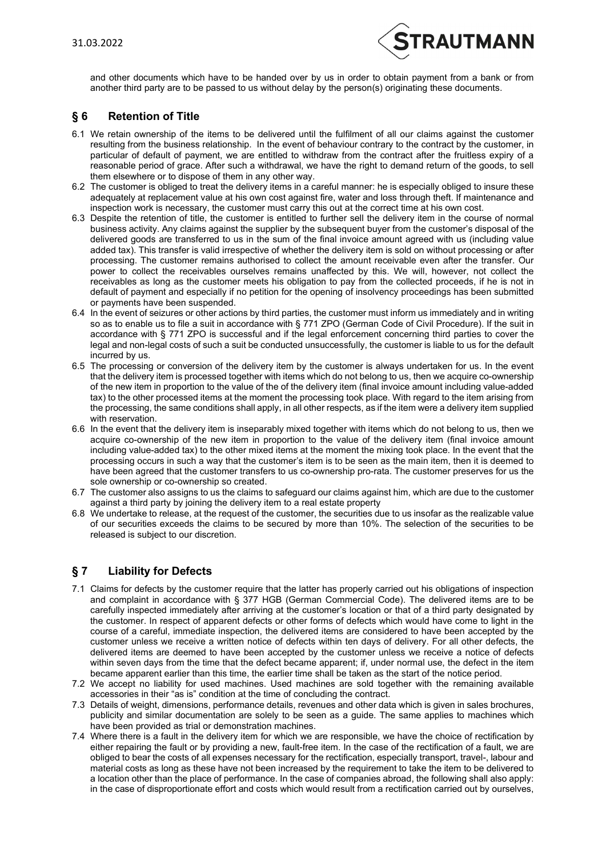

and other documents which have to be handed over by us in order to obtain payment from a bank or from another third party are to be passed to us without delay by the person(s) originating these documents.

## § 6 Retention of Title

- 6.1 We retain ownership of the items to be delivered until the fulfilment of all our claims against the customer resulting from the business relationship. In the event of behaviour contrary to the contract by the customer, in particular of default of payment, we are entitled to withdraw from the contract after the fruitless expiry of a reasonable period of grace. After such a withdrawal, we have the right to demand return of the goods, to sell them elsewhere or to dispose of them in any other way.
- 6.2 The customer is obliged to treat the delivery items in a careful manner: he is especially obliged to insure these adequately at replacement value at his own cost against fire, water and loss through theft. If maintenance and inspection work is necessary, the customer must carry this out at the correct time at his own cost.
- 6.3 Despite the retention of title, the customer is entitled to further sell the delivery item in the course of normal business activity. Any claims against the supplier by the subsequent buyer from the customer's disposal of the delivered goods are transferred to us in the sum of the final invoice amount agreed with us (including value added tax). This transfer is valid irrespective of whether the delivery item is sold on without processing or after processing. The customer remains authorised to collect the amount receivable even after the transfer. Our power to collect the receivables ourselves remains unaffected by this. We will, however, not collect the receivables as long as the customer meets his obligation to pay from the collected proceeds, if he is not in default of payment and especially if no petition for the opening of insolvency proceedings has been submitted or payments have been suspended.
- 6.4 In the event of seizures or other actions by third parties, the customer must inform us immediately and in writing so as to enable us to file a suit in accordance with § 771 ZPO (German Code of Civil Procedure). If the suit in accordance with § 771 ZPO is successful and if the legal enforcement concerning third parties to cover the legal and non-legal costs of such a suit be conducted unsuccessfully, the customer is liable to us for the default incurred by us.
- 6.5 The processing or conversion of the delivery item by the customer is always undertaken for us. In the event that the delivery item is processed together with items which do not belong to us, then we acquire co-ownership of the new item in proportion to the value of the of the delivery item (final invoice amount including value-added tax) to the other processed items at the moment the processing took place. With regard to the item arising from the processing, the same conditions shall apply, in all other respects, as if the item were a delivery item supplied with reservation.
- 6.6 In the event that the delivery item is inseparably mixed together with items which do not belong to us, then we acquire co-ownership of the new item in proportion to the value of the delivery item (final invoice amount including value-added tax) to the other mixed items at the moment the mixing took place. In the event that the processing occurs in such a way that the customer's item is to be seen as the main item, then it is deemed to have been agreed that the customer transfers to us co-ownership pro-rata. The customer preserves for us the sole ownership or co-ownership so created.
- 6.7 The customer also assigns to us the claims to safeguard our claims against him, which are due to the customer against a third party by joining the delivery item to a real estate property
- 6.8 We undertake to release, at the request of the customer, the securities due to us insofar as the realizable value of our securities exceeds the claims to be secured by more than 10%. The selection of the securities to be released is subject to our discretion.

# § 7 Liability for Defects

- 7.1 Claims for defects by the customer require that the latter has properly carried out his obligations of inspection and complaint in accordance with § 377 HGB (German Commercial Code). The delivered items are to be carefully inspected immediately after arriving at the customer's location or that of a third party designated by the customer. In respect of apparent defects or other forms of defects which would have come to light in the course of a careful, immediate inspection, the delivered items are considered to have been accepted by the customer unless we receive a written notice of defects within ten days of delivery. For all other defects, the delivered items are deemed to have been accepted by the customer unless we receive a notice of defects within seven days from the time that the defect became apparent; if, under normal use, the defect in the item became apparent earlier than this time, the earlier time shall be taken as the start of the notice period.
- 7.2 We accept no liability for used machines. Used machines are sold together with the remaining available accessories in their "as is" condition at the time of concluding the contract.
- 7.3 Details of weight, dimensions, performance details, revenues and other data which is given in sales brochures, publicity and similar documentation are solely to be seen as a guide. The same applies to machines which have been provided as trial or demonstration machines.
- 7.4 Where there is a fault in the delivery item for which we are responsible, we have the choice of rectification by either repairing the fault or by providing a new, fault-free item. In the case of the rectification of a fault, we are obliged to bear the costs of all expenses necessary for the rectification, especially transport, travel-, labour and material costs as long as these have not been increased by the requirement to take the item to be delivered to a location other than the place of performance. In the case of companies abroad, the following shall also apply: in the case of disproportionate effort and costs which would result from a rectification carried out by ourselves,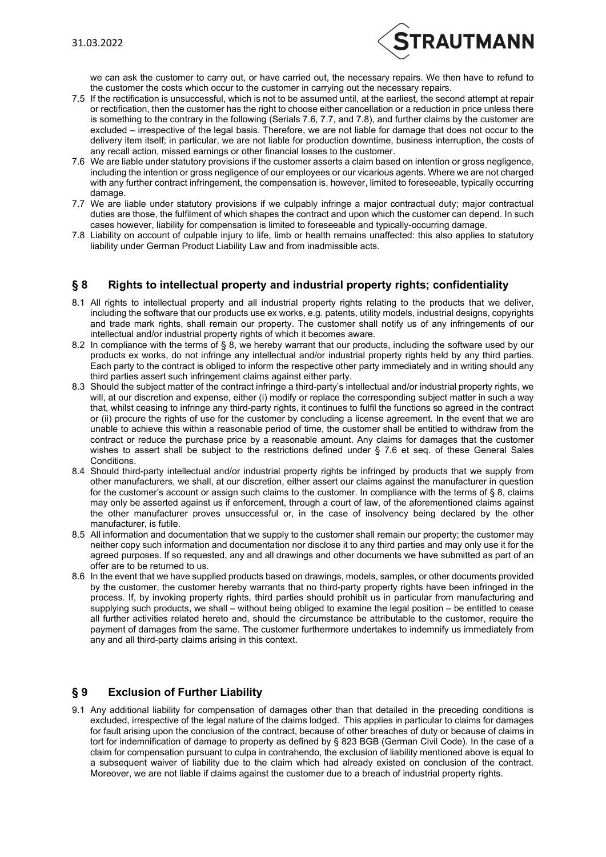

we can ask the customer to carry out, or have carried out, the necessary repairs. We then have to refund to the customer the costs which occur to the customer in carrying out the necessary repairs.

- 7.5 If the rectification is unsuccessful, which is not to be assumed until, at the earliest, the second attempt at repair or rectification, then the customer has the right to choose either cancellation or a reduction in price unless there is something to the contrary in the following (Serials 7.6, 7.7, and 7.8), and further claims by the customer are excluded – irrespective of the legal basis. Therefore, we are not liable for damage that does not occur to the delivery item itself; in particular, we are not liable for production downtime, business interruption, the costs of any recall action, missed earnings or other financial losses to the customer.
- 7.6 We are liable under statutory provisions if the customer asserts a claim based on intention or gross negligence, including the intention or gross negligence of our employees or our vicarious agents. Where we are not charged with any further contract infringement, the compensation is, however, limited to foreseeable, typically occurring damage.
- 7.7 We are liable under statutory provisions if we culpably infringe a major contractual duty; major contractual duties are those, the fulfilment of which shapes the contract and upon which the customer can depend. In such cases however, liability for compensation is limited to foreseeable and typically-occurring damage.
- 7.8 Liability on account of culpable injury to life, limb or health remains unaffected: this also applies to statutory liability under German Product Liability Law and from inadmissible acts.

### § 8 Rights to intellectual property and industrial property rights; confidentiality

- 8.1 All rights to intellectual property and all industrial property rights relating to the products that we deliver, including the software that our products use ex works, e.g. patents, utility models, industrial designs, copyrights and trade mark rights, shall remain our property. The customer shall notify us of any infringements of our intellectual and/or industrial property rights of which it becomes aware.
- 8.2 In compliance with the terms of § 8, we hereby warrant that our products, including the software used by our products ex works, do not infringe any intellectual and/or industrial property rights held by any third parties. Each party to the contract is obliged to inform the respective other party immediately and in writing should any third parties assert such infringement claims against either party.
- 8.3 Should the subject matter of the contract infringe a third-party's intellectual and/or industrial property rights, we will, at our discretion and expense, either (i) modify or replace the corresponding subject matter in such a way that, whilst ceasing to infringe any third-party rights, it continues to fulfil the functions so agreed in the contract or (ii) procure the rights of use for the customer by concluding a license agreement. In the event that we are unable to achieve this within a reasonable period of time, the customer shall be entitled to withdraw from the contract or reduce the purchase price by a reasonable amount. Any claims for damages that the customer wishes to assert shall be subject to the restrictions defined under § 7.6 et seq. of these General Sales Conditions.
- 8.4 Should third-party intellectual and/or industrial property rights be infringed by products that we supply from other manufacturers, we shall, at our discretion, either assert our claims against the manufacturer in question for the customer's account or assign such claims to the customer. In compliance with the terms of § 8, claims may only be asserted against us if enforcement, through a court of law, of the aforementioned claims against the other manufacturer proves unsuccessful or, in the case of insolvency being declared by the other manufacturer, is futile.
- 8.5 All information and documentation that we supply to the customer shall remain our property; the customer may neither copy such information and documentation nor disclose it to any third parties and may only use it for the agreed purposes. If so requested, any and all drawings and other documents we have submitted as part of an offer are to be returned to us.
- 8.6 In the event that we have supplied products based on drawings, models, samples, or other documents provided by the customer, the customer hereby warrants that no third-party property rights have been infringed in the process. If, by invoking property rights, third parties should prohibit us in particular from manufacturing and supplying such products, we shall – without being obliged to examine the legal position – be entitled to cease all further activities related hereto and, should the circumstance be attributable to the customer, require the payment of damages from the same. The customer furthermore undertakes to indemnify us immediately from any and all third-party claims arising in this context.

# § 9 Exclusion of Further Liability

9.1 Any additional liability for compensation of damages other than that detailed in the preceding conditions is excluded, irrespective of the legal nature of the claims lodged. This applies in particular to claims for damages for fault arising upon the conclusion of the contract, because of other breaches of duty or because of claims in tort for indemnification of damage to property as defined by § 823 BGB (German Civil Code). In the case of a claim for compensation pursuant to culpa in contrahendo, the exclusion of liability mentioned above is equal to a subsequent waiver of liability due to the claim which had already existed on conclusion of the contract. Moreover, we are not liable if claims against the customer due to a breach of industrial property rights.